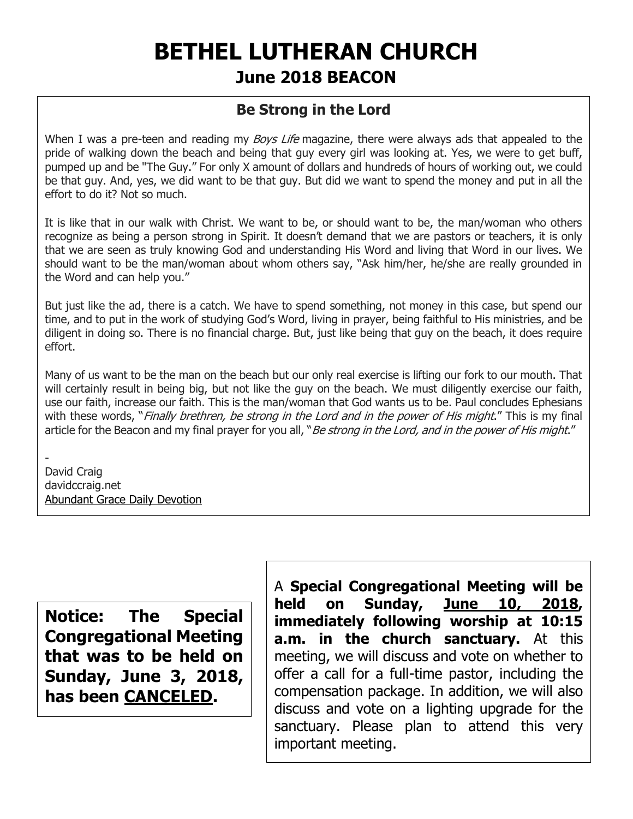# **BETHEL LUTHERAN CHURCH June 2018 BEACON**

# **Be Strong in the Lord**

When I was a pre-teen and reading my *Boys Life* magazine, there were always ads that appealed to the pride of walking down the beach and being that guy every girl was looking at. Yes, we were to get buff, pumped up and be "The Guy." For only X amount of dollars and hundreds of hours of working out, we could be that guy. And, yes, we did want to be that guy. But did we want to spend the money and put in all the effort to do it? Not so much.

It is like that in our walk with Christ. We want to be, or should want to be, the man/woman who others recognize as being a person strong in Spirit. It doesn't demand that we are pastors or teachers, it is only that we are seen as truly knowing God and understanding His Word and living that Word in our lives. We should want to be the man/woman about whom others say, "Ask him/her, he/she are really grounded in the Word and can help you."

But just like the ad, there is a catch. We have to spend something, not money in this case, but spend our time, and to put in the work of studying God's Word, living in prayer, being faithful to His ministries, and be diligent in doing so. There is no financial charge. But, just like being that guy on the beach, it does require effort.

Many of us want to be the man on the beach but our only real exercise is lifting our fork to our mouth. That will certainly result in being big, but not like the guy on the beach. We must diligently exercise our faith, use our faith, increase our faith. This is the man/woman that God wants us to be. Paul concludes Ephesians with these words, "Finally brethren, be strong in the Lord and in the power of His might." This is my final article for the Beacon and my final prayer for you all, "Be strong in the Lord, and in the power of His might."

- David Craig davidccraig.net [Abundant Grace Daily Devotion](http://adoringgrace.blogspot.com/)

**Notice: The Special Congregational Meeting that was to be held on Sunday, June 3, 2018, has been CANCELED.**

A **Special Congregational Meeting will be held on Sunday, June 10, 2018, immediately following worship at 10:15 a.m. in the church sanctuary.** At this meeting, we will discuss and vote on whether to offer a call for a full-time pastor, including the compensation package. In addition, we will also discuss and vote on a lighting upgrade for the sanctuary. Please plan to attend this very important meeting.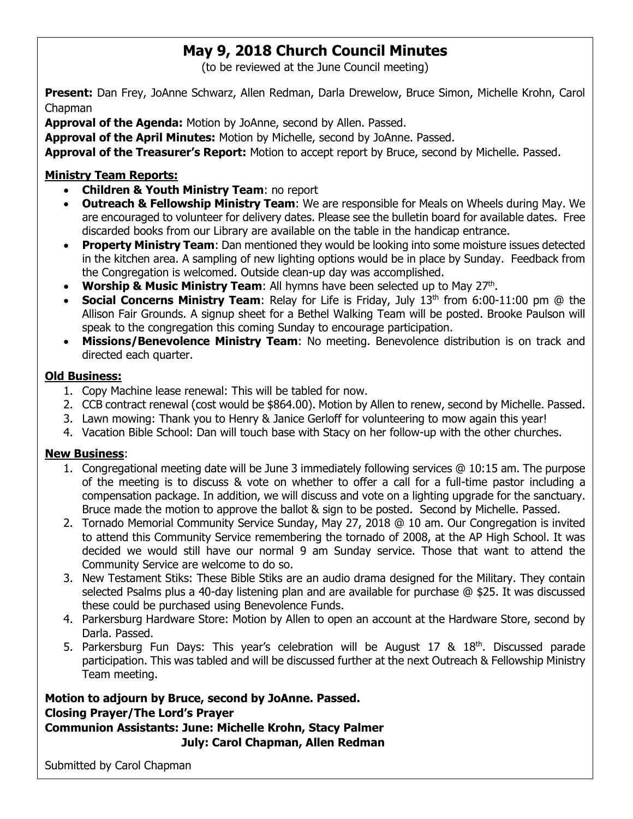# **May 9, 2018 Church Council Minutes**

(to be reviewed at the June Council meeting)

**Present:** Dan Frey, JoAnne Schwarz, Allen Redman, Darla Drewelow, Bruce Simon, Michelle Krohn, Carol Chapman

**Approval of the Agenda:** Motion by JoAnne, second by Allen. Passed.

**Approval of the April Minutes:** Motion by Michelle, second by JoAnne. Passed.

**Approval of the Treasurer's Report:** Motion to accept report by Bruce, second by Michelle. Passed.

#### **Ministry Team Reports:**

- **Children & Youth Ministry Team**: no report
- **Outreach & Fellowship Ministry Team**: We are responsible for Meals on Wheels during May. We are encouraged to volunteer for delivery dates. Please see the bulletin board for available dates. Free discarded books from our Library are available on the table in the handicap entrance.
- **Property Ministry Team**: Dan mentioned they would be looking into some moisture issues detected in the kitchen area. A sampling of new lighting options would be in place by Sunday. Feedback from the Congregation is welcomed. Outside clean-up day was accomplished.
- Worship & Music Ministry Team: All hymns have been selected up to May 27<sup>th</sup>.
- **Social Concerns Ministry Team**: Relay for Life is Friday, July 13<sup>th</sup> from 6:00-11:00 pm @ the Allison Fair Grounds. A signup sheet for a Bethel Walking Team will be posted. Brooke Paulson will speak to the congregation this coming Sunday to encourage participation.
- **Missions/Benevolence Ministry Team**: No meeting. Benevolence distribution is on track and directed each quarter.

#### **Old Business:**

- 1. Copy Machine lease renewal: This will be tabled for now.
- 2. CCB contract renewal (cost would be \$864.00). Motion by Allen to renew, second by Michelle. Passed.
- 3. Lawn mowing: Thank you to Henry & Janice Gerloff for volunteering to mow again this year!
- 4. Vacation Bible School: Dan will touch base with Stacy on her follow-up with the other churches.

#### **New Business**:

- 1. Congregational meeting date will be June 3 immediately following services @ 10:15 am. The purpose of the meeting is to discuss & vote on whether to offer a call for a full-time pastor including a compensation package. In addition, we will discuss and vote on a lighting upgrade for the sanctuary. Bruce made the motion to approve the ballot & sign to be posted. Second by Michelle. Passed.
- 2. Tornado Memorial Community Service Sunday, May 27, 2018 @ 10 am. Our Congregation is invited to attend this Community Service remembering the tornado of 2008, at the AP High School. It was decided we would still have our normal 9 am Sunday service. Those that want to attend the Community Service are welcome to do so.
- 3. New Testament Stiks: These Bible Stiks are an audio drama designed for the Military. They contain selected Psalms plus a 40-day listening plan and are available for purchase @ \$25. It was discussed these could be purchased using Benevolence Funds.
- 4. Parkersburg Hardware Store: Motion by Allen to open an account at the Hardware Store, second by Darla. Passed.
- 5. Parkersburg Fun Days: This year's celebration will be August 17  $\&$  18<sup>th</sup>. Discussed parade participation. This was tabled and will be discussed further at the next Outreach & Fellowship Ministry Team meeting.

### **Motion to adjourn by Bruce, second by JoAnne. Passed. Closing Prayer/The Lord's Prayer**

**Communion Assistants: June: Michelle Krohn, Stacy Palmer July: Carol Chapman, Allen Redman**

Submitted by Carol Chapman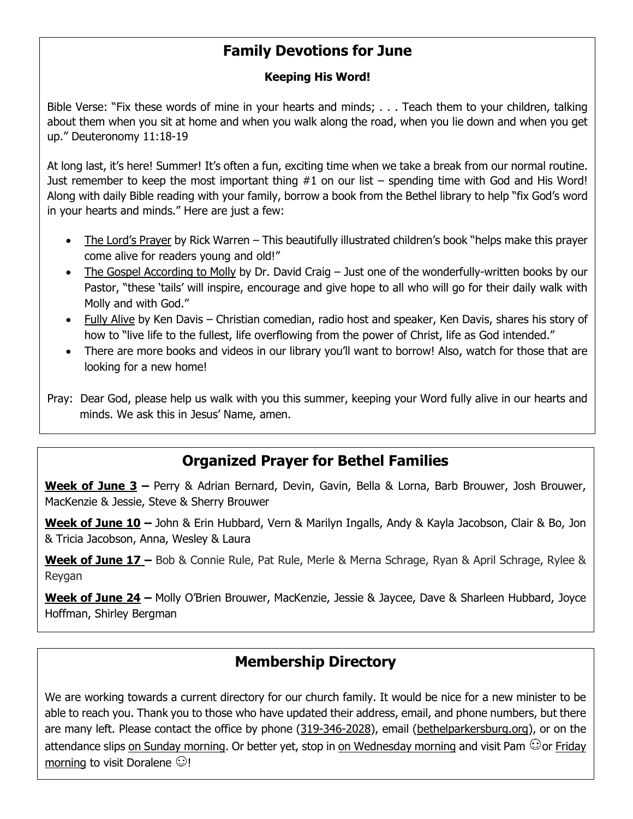# **Family Devotions for June**

#### **Keeping His Word!**

Bible Verse: "Fix these words of mine in your hearts and minds; . . . Teach them to your children, talking about them when you sit at home and when you walk along the road, when you lie down and when you get up." Deuteronomy 11:18-19

At long last, it's here! Summer! It's often a fun, exciting time when we take a break from our normal routine. Just remember to keep the most important thing #1 on our list – spending time with God and His Word! Along with daily Bible reading with your family, borrow a book from the Bethel library to help "fix God's word in your hearts and minds." Here are just a few:

- The Lord's Prayer by Rick Warren This beautifully illustrated children's book "helps make this prayer come alive for readers young and old!"
- The Gospel According to Molly by Dr. David Craig Just one of the wonderfully-written books by our Pastor, "these 'tails' will inspire, encourage and give hope to all who will go for their daily walk with Molly and with God."
- Fully Alive by Ken Davis Christian comedian, radio host and speaker, Ken Davis, shares his story of how to "live life to the fullest, life overflowing from the power of Christ, life as God intended."
- There are more books and videos in our library you'll want to borrow! Also, watch for those that are looking for a new home!

Pray: Dear God, please help us walk with you this summer, keeping your Word fully alive in our hearts and minds. We ask this in Jesus' Name, amen.

# **Organized Prayer for Bethel Families**

**Week of June 3 –** Perry & Adrian Bernard, Devin, Gavin, Bella & Lorna, Barb Brouwer, Josh Brouwer, MacKenzie & Jessie, Steve & Sherry Brouwer

**Week of June 10 –** John & Erin Hubbard, Vern & Marilyn Ingalls, Andy & Kayla Jacobson, Clair & Bo, Jon & Tricia Jacobson, Anna, Wesley & Laura

**Week of June 17 –** Bob & Connie Rule, Pat Rule, Merle & Merna Schrage, Ryan & April Schrage, Rylee & Reygan

**Week of June 24 –** Molly O'Brien Brouwer, MacKenzie, Jessie & Jaycee, Dave & Sharleen Hubbard, Joyce Hoffman, Shirley Bergman

# **Membership Directory**

We are working towards a current directory for our church family. It would be nice for a new minister to be able to reach you. Thank you to those who have updated their address, email, and phone numbers, but there are many left. Please contact the office by phone (319-346-2028), email (bethelparkersburg.org), or on the attendance slips on Sunday morning. Or better yet, stop in on Wednesday morning and visit Pam  $\odot$  or Friday morning to visit Doralene  $\odot$ !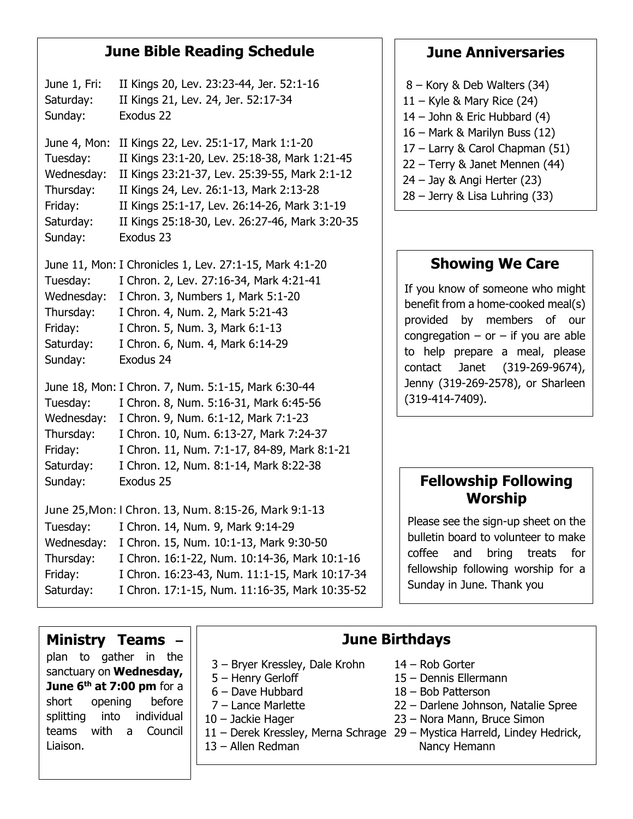## **June Bible Reading Schedule**

June 1, Fri: II Kings 20, Lev. 23:23-44, Jer. 52:1-16 Saturday: II Kings 21, Lev. 24, Jer. 52:17-34 Sunday: Exodus 22 June 4, Mon: II Kings 22, Lev. 25:1-17, Mark 1:1-20 Tuesday: II Kings 23:1-20, Lev. 25:18-38, Mark 1:21-45 Wednesday: II Kings 23:21-37, Lev. 25:39-55, Mark 2:1-12 Thursday: II Kings 24, Lev. 26:1-13, Mark 2:13-28 Friday: II Kings 25:1-17, Lev. 26:14-26, Mark 3:1-19 Saturday: II Kings 25:18-30, Lev. 26:27-46, Mark 3:20-35 Sunday: Exodus 23 June 11, Mon: I Chronicles 1, Lev. 27:1-15, Mark 4:1-20 Tuesday: I Chron. 2, Lev. 27:16-34, Mark 4:21-41 Wednesday: I Chron. 3, Numbers 1, Mark 5:1-20 Thursday: I Chron. 4, Num. 2, Mark 5:21-43 Friday: I Chron. 5, Num. 3, Mark 6:1-13 Saturday: I Chron. 6, Num. 4, Mark 6:14-29 Sunday: Exodus 24 June 18, Mon: I Chron. 7, Num. 5:1-15, Mark 6:30-44 Tuesday: I Chron. 8, Num. 5:16-31, Mark 6:45-56 Wednesday: I Chron. 9, Num. 6:1-12, Mark 7:1-23 Thursday: I Chron. 10, Num. 6:13-27, Mark 7:24-37 Friday: I Chron. 11, Num. 7:1-17, 84-89, Mark 8:1-21 Saturday: I Chron. 12, Num. 8:1-14, Mark 8:22-38 Sunday: Exodus 25 June 25,Mon: I Chron. 13, Num. 8:15-26, Mark 9:1-13 Tuesday: I Chron. 14, Num. 9, Mark 9:14-29 Wednesday: I Chron. 15, Num. 10:1-13, Mark 9:30-50 Thursday: I Chron. 16:1-22, Num. 10:14-36, Mark 10:1-16 Friday: I Chron. 16:23-43, Num. 11:1-15, Mark 10:17-34

Saturday: I Chron. 17:1-15, Num. 11:16-35, Mark 10:35-52

# **June Anniversaries**

- 8 Kory & Deb Walters (34)
- 11 Kyle & Mary Rice (24)
- 14 John & Eric Hubbard (4)
- 16 Mark & Marilyn Buss (12)
- 17 Larry & Carol Chapman (51)
- 22 Terry & Janet Mennen (44)
- 24 Jay & Angi Herter (23)
- 28 Jerry & Lisa Luhring (33)

# **Showing We Care**

If you know of someone who might benefit from a home-cooked meal(s) provided by members of our congregation – or – if you are able to help prepare a meal, please contact Janet (319-269-9674), Jenny (319-269-2578), or Sharleen (319-414-7409).

# **Fellowship Following Worship**

Please see the sign-up sheet on the bulletin board to volunteer to make coffee and bring treats for fellowship following worship for a Sunday in June. Thank you

### **Ministry Teams –** plan to gather in the

sanctuary on **Wednesday, June 6 th at 7:00 pm** for a short opening before splitting into individual teams with a Council Liaison.

- 3 Bryer Kressley, Dale Krohn 14 Rob Gorter
- 
- 
- 
- 11 Derek Kressley, Merna Schrage 29 Mystica Harreld, Lindey Hedrick,

# **June Birthdays**

- 
- 5 Henry Gerloff 15 Dennis Ellermann
- 6 Dave Hubbard 18 Bob Patterson
- 7 Lance Marlette 22 Darlene Johnson, Natalie Spree
- 10 Jackie Hager 23 Nora Mann, Bruce Simon
- 13 Allen Redman Nancy Hemann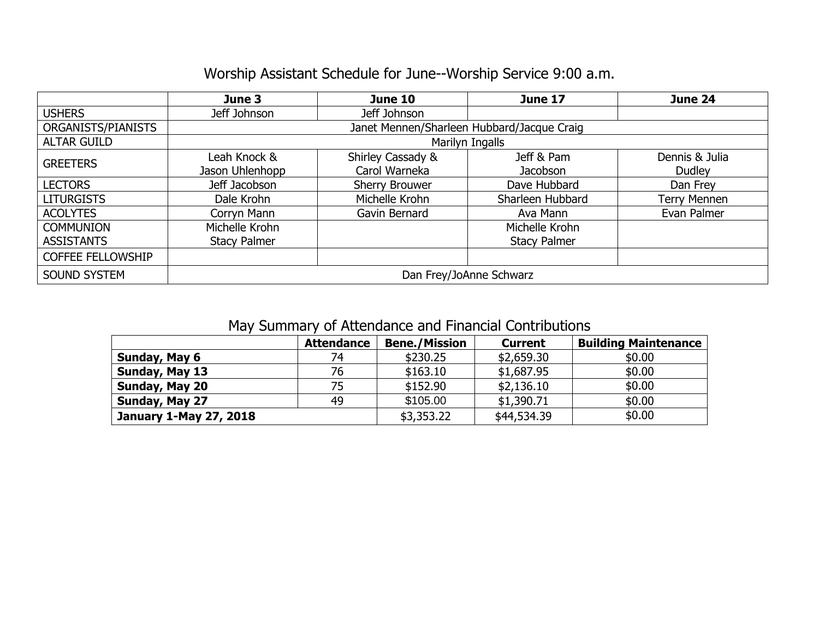# Worship Assistant Schedule for June--Worship Service 9:00 a.m.

|                          | June 3                                     | June 10           | <b>June 17</b>      | June 24             |  |  |  |  |  |
|--------------------------|--------------------------------------------|-------------------|---------------------|---------------------|--|--|--|--|--|
| <b>USHERS</b>            | Jeff Johnson                               | Jeff Johnson      |                     |                     |  |  |  |  |  |
| ORGANISTS/PIANISTS       | Janet Mennen/Sharleen Hubbard/Jacque Craig |                   |                     |                     |  |  |  |  |  |
| <b>ALTAR GUILD</b>       | Marilyn Ingalls                            |                   |                     |                     |  |  |  |  |  |
| <b>GREETERS</b>          | Leah Knock &                               | Shirley Cassady & | Jeff & Pam          | Dennis & Julia      |  |  |  |  |  |
|                          | Jason Uhlenhopp                            | Carol Warneka     | <b>Jacobson</b>     | Dudley              |  |  |  |  |  |
| <b>LECTORS</b>           | Jeff Jacobson                              | Sherry Brouwer    | Dave Hubbard        | Dan Frey            |  |  |  |  |  |
| <b>LITURGISTS</b>        | Dale Krohn                                 | Michelle Krohn    | Sharleen Hubbard    | <b>Terry Mennen</b> |  |  |  |  |  |
| <b>ACOLYTES</b>          | Corryn Mann                                | Gavin Bernard     | Ava Mann            | Evan Palmer         |  |  |  |  |  |
| <b>COMMUNION</b>         | Michelle Krohn                             |                   | Michelle Krohn      |                     |  |  |  |  |  |
| <b>ASSISTANTS</b>        | <b>Stacy Palmer</b>                        |                   | <b>Stacy Palmer</b> |                     |  |  |  |  |  |
| <b>COFFEE FELLOWSHIP</b> |                                            |                   |                     |                     |  |  |  |  |  |
| <b>SOUND SYSTEM</b>      | Dan Frey/JoAnne Schwarz                    |                   |                     |                     |  |  |  |  |  |

# May Summary of Attendance and Financial Contributions

|                               | <b>Attendance</b> | <b>Bene./Mission</b> | <b>Current</b> | <b>Building Maintenance</b> |
|-------------------------------|-------------------|----------------------|----------------|-----------------------------|
| Sunday, May 6                 | 74                | \$230.25             | \$2,659.30     | \$0.00                      |
| Sunday, May 13                | 76                | \$163.10             | \$1,687.95     | \$0.00                      |
| Sunday, May 20                | 75                | \$152.90             | \$2,136.10     | \$0.00                      |
| Sunday, May 27                | 49                | \$105.00             | \$1,390.71     | \$0.00                      |
| <b>January 1-May 27, 2018</b> |                   | \$3,353.22           | \$44,534.39    | \$0.00                      |